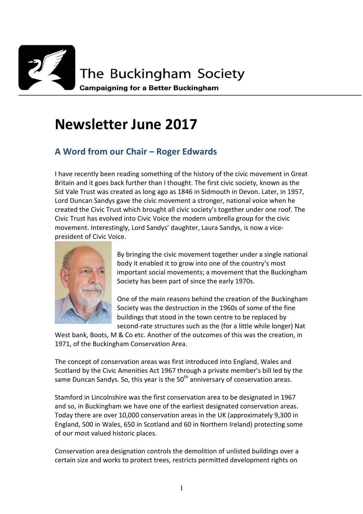

# **Newsletter June 2017**

# **A Word from our Chair – Roger Edwards**

I have recently been reading something of the history of the civic movement in Great Britain and it goes back further than I thought. The first civic society, known as the Sid Vale Trust was created as long ago as 1846 in Sidmouth in Devon. Later, in 1957, Lord Duncan Sandys gave the civic movement a stronger, national voice when he created the Civic Trust which brought all civic society's together under one roof. The Civic Trust has evolved into Civic Voice the modern umbrella group for the civic movement. Interestingly, Lord Sandys' daughter, Laura Sandys, is now a vicepresident of Civic Voice.



By bringing the civic movement together under a single national body it enabled it to grow into one of the country's most important social movements; a movement that the Buckingham Society has been part of since the early 1970s.

One of the main reasons behind the creation of the Buckingham Society was the destruction in the 1960s of some of the fine buildings that stood in the town centre to be replaced by second-rate structures such as the (for a little while longer) Nat

West bank, Boots, M & Co etc. Another of the outcomes of this was the creation, in 1971, of the Buckingham Conservation Area.

The concept of conservation areas was first introduced into England, Wales and Scotland by the Civic Amenities Act 1967 through a private member's bill led by the same Duncan Sandys. So, this year is the  $50<sup>th</sup>$  anniversary of conservation areas.

Stamford in Lincolnshire was the first conservation area to be designated in 1967 and so, in Buckingham we have one of the earliest designated conservation areas. Today there are over 10,000 conservation areas in the UK (approximately 9,300 in England, 500 in Wales, 650 in Scotland and 60 in Northern Ireland) protecting some of our most valued historic places.

Conservation area designation controls the demolition of unlisted buildings over a certain size and works to protect trees, restricts permitted development rights on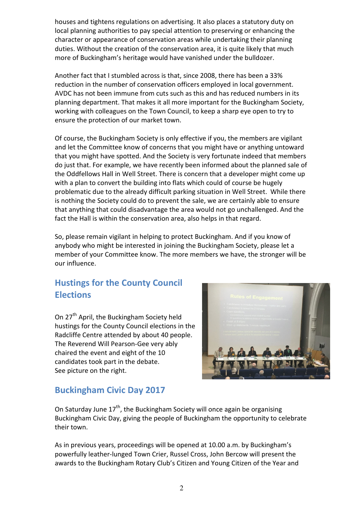houses and tightens regulations on advertising. It also places a statutory duty on local planning authorities to pay special attention to preserving or enhancing the character or appearance of conservation areas while undertaking their planning duties. Without the creation of the conservation area, it is quite likely that much more of Buckingham's heritage would have vanished under the bulldozer.

Another fact that I stumbled across is that, since 2008, there has been a 33% reduction in the number of conservation officers employed in local government. AVDC has not been immune from cuts such as this and has reduced numbers in its planning department. That makes it all more important for the Buckingham Society, working with colleagues on the Town Council, to keep a sharp eye open to try to ensure the protection of our market town.

Of course, the Buckingham Society is only effective if you, the members are vigilant and let the Committee know of concerns that you might have or anything untoward that you might have spotted. And the Society is very fortunate indeed that members do just that. For example, we have recently been informed about the planned sale of the Oddfellows Hall in Well Street. There is concern that a developer might come up with a plan to convert the building into flats which could of course be hugely problematic due to the already difficult parking situation in Well Street. While there is nothing the Society could do to prevent the sale, we are certainly able to ensure that anything that could disadvantage the area would not go unchallenged. And the fact the Hall is within the conservation area, also helps in that regard.

So, please remain vigilant in helping to protect Buckingham. And if you know of anybody who might be interested in joining the Buckingham Society, please let a member of your Committee know. The more members we have, the stronger will be our influence.

# **Hustings for the County Council Elections**

On 27<sup>th</sup> April, the Buckingham Society held hustings for the County Council elections in the Radcliffe Centre attended by about 40 people. The Reverend Will Pearson-Gee very ably chaired the event and eight of the 10 candidates took part in the debate. See picture on the right.



# **Buckingham Civic Day 2017**

On Saturday June  $17<sup>th</sup>$ , the Buckingham Society will once again be organising Buckingham Civic Day, giving the people of Buckingham the opportunity to celebrate their town.

As in previous years, proceedings will be opened at 10.00 a.m. by Buckingham's powerfully leather-lunged Town Crier, Russel Cross, John Bercow will present the awards to the Buckingham Rotary Club's Citizen and Young Citizen of the Year and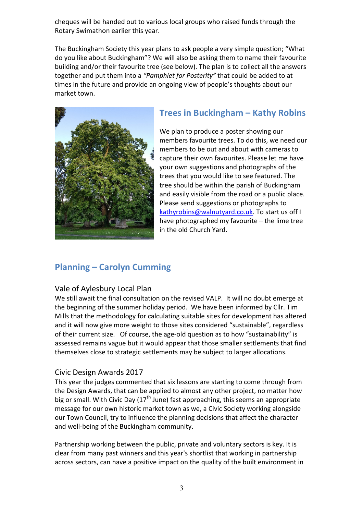cheques will be handed out to various local groups who raised funds through the Rotary Swimathon earlier this year.

The Buckingham Society this year plans to ask people a very simple question; "What do you like about Buckingham"? We will also be asking them to name their favourite building and/or their favourite tree (see below). The plan is to collect all the answers together and put them into a *"Pamphlet for Posterity"* that could be added to at times in the future and provide an ongoing view of people's thoughts about our market town.



# **Trees in Buckingham – Kathy Robins**

We plan to produce a poster showing our members favourite trees. To do this, we need our members to be out and about with cameras to capture their own favourites. Please let me have your own suggestions and photographs of the trees that you would like to see featured. The tree should be within the parish of Buckingham and easily visible from the road or a public place. Please send suggestions or photographs to kathyrobins@walnutyard.co.uk. To start us off I have photographed my favourite – the lime tree in the old Church Yard.

### **Planning – Carolyn Cumming**

### Vale of Aylesbury Local Plan

We still await the final consultation on the revised VALP. It will no doubt emerge at the beginning of the summer holiday period. We have been informed by Cllr. Tim Mills that the methodology for calculating suitable sites for development has altered and it will now give more weight to those sites considered "sustainable", regardless of their current size. Of course, the age-old question as to how "sustainability" is assessed remains vague but it would appear that those smaller settlements that find themselves close to strategic settlements may be subject to larger allocations.

### Civic Design Awards 2017

This year the judges commented that six lessons are starting to come through from the Design Awards, that can be applied to almost any other project, no matter how big or small. With Civic Day  $(17<sup>th</sup>$  June) fast approaching, this seems an appropriate message for our own historic market town as we, a Civic Society working alongside our Town Council, try to influence the planning decisions that affect the character and well-being of the Buckingham community.

Partnership working between the public, private and voluntary sectors is key. It is clear from many past winners and this year's shortlist that working in partnership across sectors, can have a positive impact on the quality of the built environment in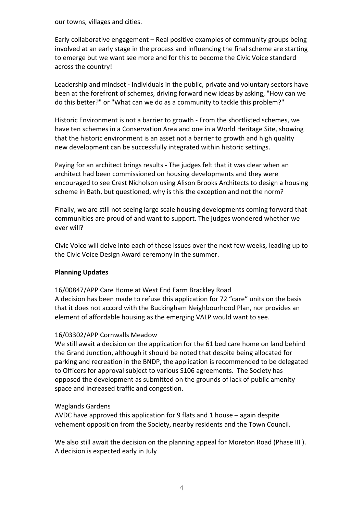our towns, villages and cities.

Early collaborative engagement – Real positive examples of community groups being involved at an early stage in the process and influencing the final scheme are starting to emerge but we want see more and for this to become the Civic Voice standard across the country!

Leadership and mindset **-** Individuals in the public, private and voluntary sectors have been at the forefront of schemes, driving forward new ideas by asking, "How can we do this better?" or "What can we do as a community to tackle this problem?"

Historic Environment is not a barrier to growth - From the shortlisted schemes, we have ten schemes in a Conservation Area and one in a World Heritage Site, showing that the historic environment is an asset not a barrier to growth and high quality new development can be successfully integrated within historic settings.

Paying for an architect brings results **-** The judges felt that it was clear when an architect had been commissioned on housing developments and they were encouraged to see Crest Nicholson using Alison Brooks Architects to design a housing scheme in Bath, but questioned, why is this the exception and not the norm?

Finally, we are still not seeing large scale housing developments coming forward that communities are proud of and want to support. The judges wondered whether we ever will?

Civic Voice will delve into each of these issues over the next few weeks, leading up to the Civic Voice Design Award ceremony in the summer.

### **Planning Updates**

16/00847/APP Care Home at West End Farm Brackley Road

A decision has been made to refuse this application for 72 "care" units on the basis that it does not accord with the Buckingham Neighbourhood Plan, nor provides an element of affordable housing as the emerging VALP would want to see.

#### 16/03302/APP Cornwalls Meadow

We still await a decision on the application for the 61 bed care home on land behind the Grand Junction, although it should be noted that despite being allocated for parking and recreation in the BNDP, the application is recommended to be delegated to Officers for approval subject to various S106 agreements. The Society has opposed the development as submitted on the grounds of lack of public amenity space and increased traffic and congestion.

#### Waglands Gardens

AVDC have approved this application for 9 flats and 1 house – again despite vehement opposition from the Society, nearby residents and the Town Council.

We also still await the decision on the planning appeal for Moreton Road (Phase III ). A decision is expected early in July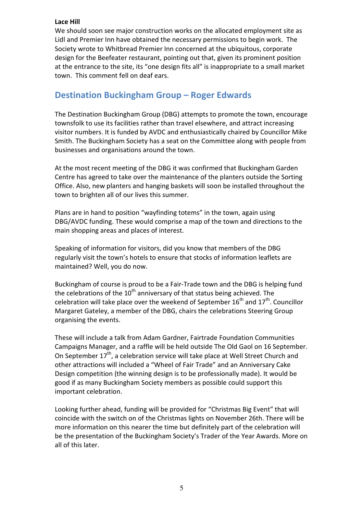### **Lace Hill**

We should soon see major construction works on the allocated employment site as Lidl and Premier Inn have obtained the necessary permissions to begin work. The Society wrote to Whitbread Premier Inn concerned at the ubiquitous, corporate design for the Beefeater restaurant, pointing out that, given its prominent position at the entrance to the site, its "one design fits all" is inappropriate to a small market town. This comment fell on deaf ears.

### **Destination Buckingham Group – Roger Edwards**

The Destination Buckingham Group (DBG) attempts to promote the town, encourage townsfolk to use its facilities rather than travel elsewhere, and attract increasing visitor numbers. It is funded by AVDC and enthusiastically chaired by Councillor Mike Smith. The Buckingham Society has a seat on the Committee along with people from businesses and organisations around the town.

At the most recent meeting of the DBG it was confirmed that Buckingham Garden Centre has agreed to take over the maintenance of the planters outside the Sorting Office. Also, new planters and hanging baskets will soon be installed throughout the town to brighten all of our lives this summer.

Plans are in hand to position "wayfinding totems" in the town, again using DBG/AVDC funding. These would comprise a map of the town and directions to the main shopping areas and places of interest.

Speaking of information for visitors, did you know that members of the DBG regularly visit the town's hotels to ensure that stocks of information leaflets are maintained? Well, you do now.

Buckingham of course is proud to be a Fair-Trade town and the DBG is helping fund the celebrations of the  $10<sup>th</sup>$  anniversary of that status being achieved. The celebration will take place over the weekend of September  $16<sup>th</sup>$  and  $17<sup>th</sup>$ . Councillor Margaret Gateley, a member of the DBG, chairs the celebrations Steering Group organising the events.

These will include a talk from Adam Gardner, Fairtrade Foundation Communities Campaigns Manager, and a raffle will be held outside The Old Gaol on 16 September. On September  $17<sup>th</sup>$ , a celebration service will take place at Well Street Church and other attractions will included a "Wheel of Fair Trade" and an Anniversary Cake Design competition (the winning design is to be professionally made). It would be good if as many Buckingham Society members as possible could support this important celebration.

Looking further ahead, funding will be provided for "Christmas Big Event" that will coincide with the switch on of the Christmas lights on November 26th. There will be more information on this nearer the time but definitely part of the celebration will be the presentation of the Buckingham Society's Trader of the Year Awards. More on all of this later.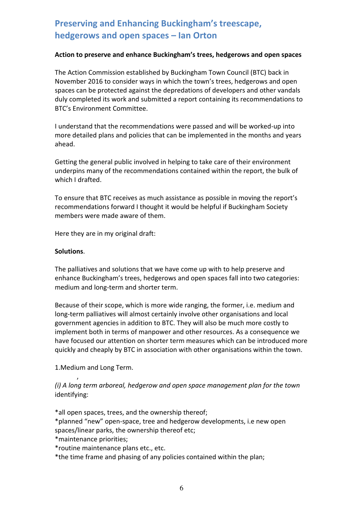# **Preserving and Enhancing Buckingham's treescape, hedgerows and open spaces – Ian Orton**

### **Action to preserve and enhance Buckingham's trees, hedgerows and open spaces**

The Action Commission established by Buckingham Town Council (BTC) back in November 2016 to consider ways in which the town's trees, hedgerows and open spaces can be protected against the depredations of developers and other vandals duly completed its work and submitted a report containing its recommendations to BTC's Environment Committee.

I understand that the recommendations were passed and will be worked-up into more detailed plans and policies that can be implemented in the months and years ahead.

Getting the general public involved in helping to take care of their environment underpins many of the recommendations contained within the report, the bulk of which I drafted.

To ensure that BTC receives as much assistance as possible in moving the report's recommendations forward I thought it would be helpful if Buckingham Society members were made aware of them.

Here they are in my original draft:

#### **Solutions**.

 $\overline{\phantom{a}}$ 

The palliatives and solutions that we have come up with to help preserve and enhance Buckingham's trees, hedgerows and open spaces fall into two categories: medium and long-term and shorter term.

Because of their scope, which is more wide ranging, the former, i.e. medium and long-term palliatives will almost certainly involve other organisations and local government agencies in addition to BTC. They will also be much more costly to implement both in terms of manpower and other resources. As a consequence we have focused our attention on shorter term measures which can be introduced more quickly and cheaply by BTC in association with other organisations within the town.

1.Medium and Long Term.

*(i) A long term arboreal, hedgerow and open space management plan for the town* identifying:

\*all open spaces, trees, and the ownership thereof;

\*planned "new" open-space, tree and hedgerow developments, i.e new open spaces/linear parks, the ownership thereof etc;

\*maintenance priorities;

\*routine maintenance plans etc., etc.

\*the time frame and phasing of any policies contained within the plan;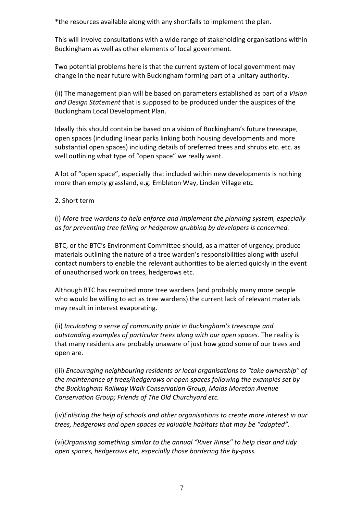\*the resources available along with any shortfalls to implement the plan.

This will involve consultations with a wide range of stakeholding organisations within Buckingham as well as other elements of local government.

Two potential problems here is that the current system of local government may change in the near future with Buckingham forming part of a unitary authority.

(ii) The management plan will be based on parameters established as part of a *Vision and Design Statement* that is supposed to be produced under the auspices of the Buckingham Local Development Plan.

Ideally this should contain be based on a vision of Buckingham's future treescape, open spaces (including linear parks linking both housing developments and more substantial open spaces) including details of preferred trees and shrubs etc. etc. as well outlining what type of "open space" we really want.

A lot of "open space", especially that included within new developments is nothing more than empty grassland, e.g. Embleton Way, Linden Village etc.

### 2. Short term

(i) *More tree wardens to help enforce and implement the planning system, especially as far preventing tree felling or hedgerow grubbing by developers is concerned.* 

BTC, or the BTC's Environment Committee should, as a matter of urgency, produce materials outlining the nature of a tree warden's responsibilities along with useful contact numbers to enable the relevant authorities to be alerted quickly in the event of unauthorised work on trees, hedgerows etc.

Although BTC has recruited more tree wardens (and probably many more people who would be willing to act as tree wardens) the current lack of relevant materials may result in interest evaporating.

(ii) *Inculcating a sense of community pride in Buckingham's treescape and outstanding examples of particular trees along with our open spaces.* The reality is that many residents are probably unaware of just how good some of our trees and open are.

(iii) *Encouraging neighbouring residents or local organisations to "take ownership" of the maintenance of trees/hedgerows or open spaces following the examples set by the Buckingham Railway Walk Conservation Group, Maids Moreton Avenue Conservation Group; Friends of The Old Churchyard etc.* 

(iv)*Enlisting the help of schools and other organisations to create more interest in our trees, hedgerows and open spaces as valuable habitats that may be "adopted".* 

(vi)*Organising something similar to the annual "River Rinse" to help clear and tidy open spaces, hedgerows etc, especially those bordering the by-pass.*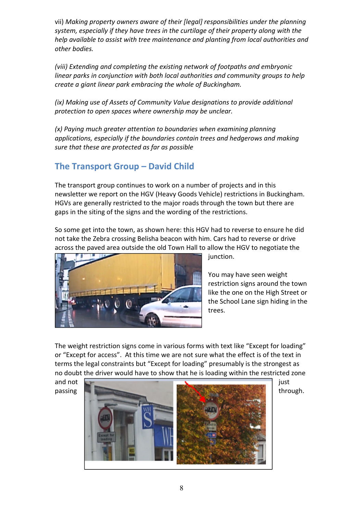vii) *Making property owners aware of their [legal] responsibilities under the planning system, especially if they have trees in the curtilage of their property along with the help available to assist with tree maintenance and planting from local authorities and other bodies.* 

*(viii) Extending and completing the existing network of footpaths and embryonic linear parks in conjunction with both local authorities and community groups to help create a giant linear park embracing the whole of Buckingham.* 

*(ix) Making use of Assets of Community Value designations to provide additional protection to open spaces where ownership may be unclear.* 

*(x) Paying much greater attention to boundaries when examining planning applications, especially if the boundaries contain trees and hedgerows and making sure that these are protected as far as possible* 

# **The Transport Group – David Child**

The transport group continues to work on a number of projects and in this newsletter we report on the HGV (Heavy Goods Vehicle) restrictions in Buckingham. HGVs are generally restricted to the major roads through the town but there are gaps in the siting of the signs and the wording of the restrictions.

So some get into the town, as shown here: this HGV had to reverse to ensure he did not take the Zebra crossing Belisha beacon with him. Cars had to reverse or drive across the paved area outside the old Town Hall to allow the HGV to negotiate the



junction.

You may have seen weight restriction signs around the town like the one on the High Street or the School Lane sign hiding in the trees.

The weight restriction signs come in various forms with text like "Except for loading" or "Except for access". At this time we are not sure what the effect is of the text in terms the legal constraints but "Except for loading" presumably is the strongest as no doubt the driver would have to show that he is loading within the restricted zone

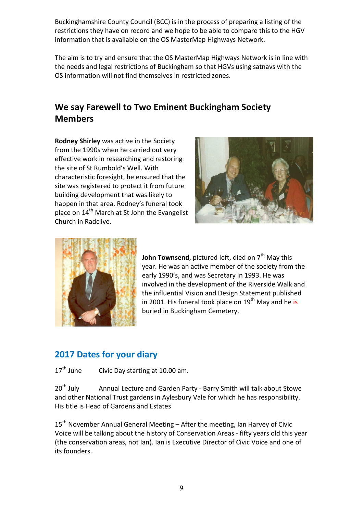Buckinghamshire County Council (BCC) is in the process of preparing a listing of the restrictions they have on record and we hope to be able to compare this to the HGV information that is available on the OS MasterMap Highways Network.

The aim is to try and ensure that the OS MasterMap Highways Network is in line with the needs and legal restrictions of Buckingham so that HGVs using satnavs with the OS information will not find themselves in restricted zones.

# **We say Farewell to Two Eminent Buckingham Society Members**

**Rodney Shirley** was active in the Society from the 1990s when he carried out very effective work in researching and restoring the site of St Rumbold's Well. With characteristic foresight, he ensured that the site was registered to protect it from future building development that was likely to happen in that area. Rodney's funeral took place on 14<sup>th</sup> March at St John the Evangelist Church in Radclive.





**John Townsend**, pictured left, died on 7<sup>th</sup> May this year. He was an active member of the society from the early 1990's, and was Secretary in 1993. He was involved in the development of the Riverside Walk and the influential Vision and Design Statement published in 2001. His funeral took place on  $19<sup>th</sup>$  May and he is buried in Buckingham Cemetery.

# **2017 Dates for your diary**

 $17<sup>th</sup>$  June Civic Day starting at 10.00 am.

20<sup>th</sup> July Annual Lecture and Garden Party - Barry Smith will talk about Stowe and other National Trust gardens in Aylesbury Vale for which he has responsibility. His title is Head of Gardens and Estates

15<sup>th</sup> November Annual General Meeting - After the meeting, Ian Harvey of Civic Voice will be talking about the history of Conservation Areas - fifty years old this year (the conservation areas, not Ian). Ian is Executive Director of Civic Voice and one of its founders.